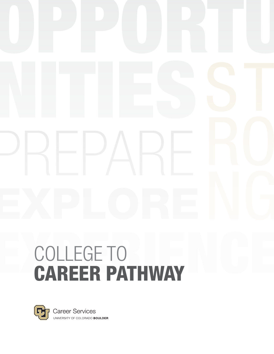# COLLEGE TO<br>CAREER PATHWAY



**Career Services** UNIVERSITY OF COLORADO BOULDER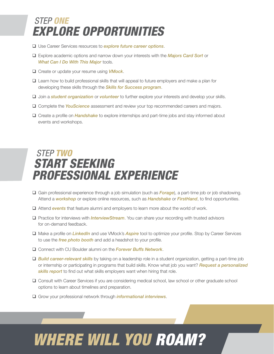### *STEP ONE EXPLORE OPPORTUNITIES*

- Use Career Services resources to *[explore future career options](https://www.colorado.edu/career/majors-exploration/explore-your-options)*.
- Explore academic options and narrow down your interests with the *[Majors Card Sort](https://cuboulder.qualtrics.com/jfe/form/SV_8CEi17HD2PaobSl)* or *[What Can I Do With This Major](https://www.colorado.edu/career/what-can-i-do-major)* tools.
- Create or update your resume using *[VMock](https://www.colorado.edu/career/vmock)*.
- Learn how to build professional skills that will appeal to future employers and make a plan for developing these skills through the *[Skills for Success program](https://www.colorado.edu/career/skills-success/students)*.
- Join a *[student organization](https://colorado.presence.io/)* or *[volunteer](https://www.colorado.edu/volunteer/volunteer)* to further explore your interests and develop your skills.
- Complete the *[YouScience](https://www.colorado.edu/career/majors-exploration/explore-your-options#youscience_aptitudes_and_interests_-247)* assessment and review your top recommended careers and majors.
- Create a profile on *[Handshake](https://www.colorado.edu/career/handshake)* to explore internships and part-time jobs and stay informed about events and workshops.

## *STEP TWO START SEEKING PROFESSIONAL EXPERIENCE*

- Gain professional experience through a job simulation (such as *[Forage](https://www.colorado.edu/career/internships/professional-experiences#the_forage-443)*), a part-time job or job shadowing. Attend a *[workshop](https://www.colorado.edu/career/fairs-events#weekly_programs-11)* or explore online resources, such as *[Handshake](https://www.colorado.edu/career/handshake)* or *[FirstHand](https://www.colorado.edu/career/career-help-demand/firsthand)*, to find opportunities.
- Attend *[events](https://www.colorado.edu/career/fairs-events#industry_events-11)* that feature alumni and employers to learn more about the world of work.
- Practice for interviews with *[InterviewStream](https://www.colorado.edu/career/interview-stream)*. You can share your recording with trusted advisors for on-demand feedback.
- Make a profile on *[LinkedIn](https://www.linkedin.com/)* and use VMock's *[Aspire](https://www.colorado.edu/career/vmock)* tool to optimize your profile. Stop by Career Services to use the *[free photo booth](https://www.colorado.edu/career/headshots)* and add a headshot to your profile.
- Connect with CU Boulder alumni on the *[Forever Buffs Network](https://www.colorado.edu/career/career-help-demand/forever-buffs-network)*.
- *[Build career-relevant skills](https://www.colorado.edu/career/skills-success/build-job-skills)* by taking on a leadership role in a student organization, getting a part-time job or internship or participating in programs that build skills. Know what job you want? *[Request a personalized](https://www.colorado.edu/career/skills-success-report)*  **[skills report](https://www.colorado.edu/career/skills-success-report)** to find out what skills employers want when hiring that role.
- Consult with Career Services if you are considering medical school, law school or other graduate school options to learn about timelines and preparation.
- Grow your professional network through *[informational interviews](https://www.colorado.edu/career/job-searching/interviews/informational-interviewing)*.

# *WHERE WILL YOU ROAM?*